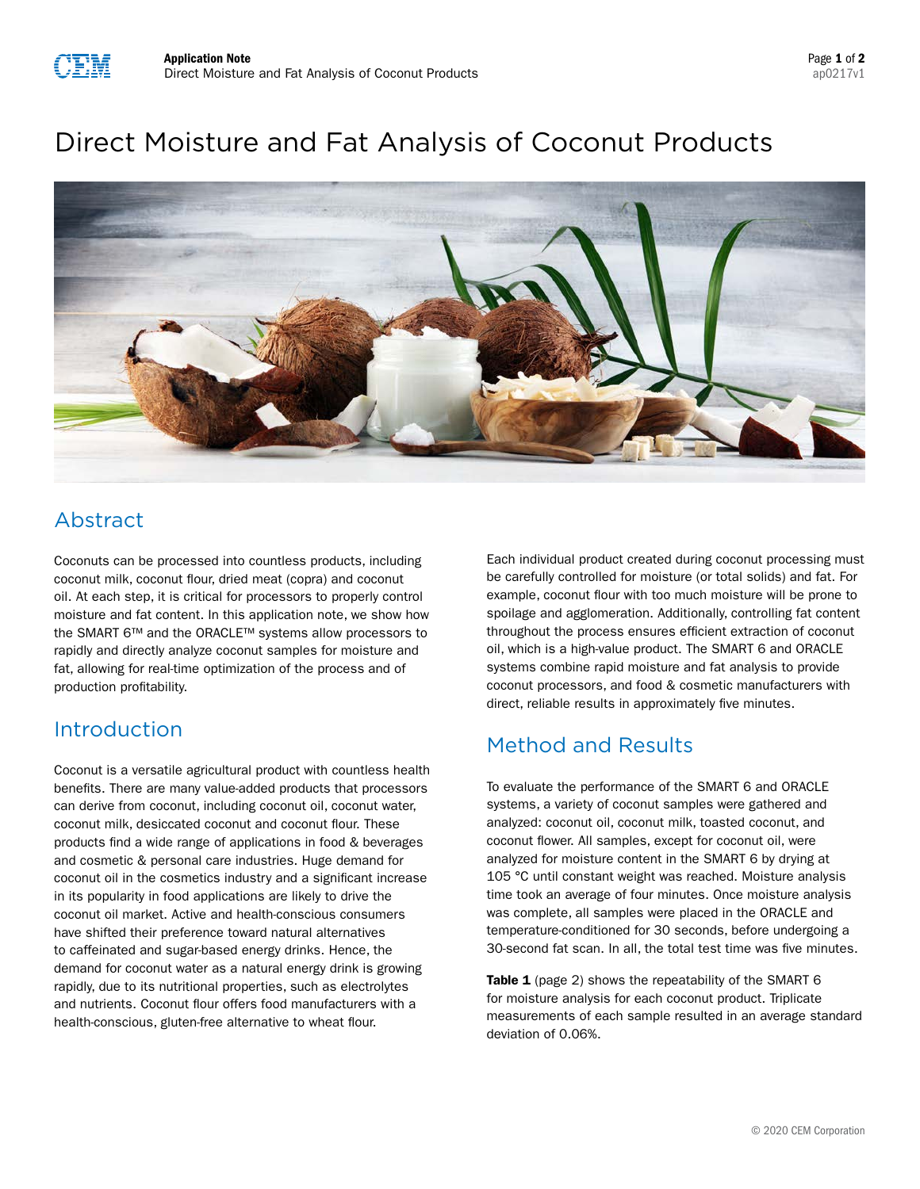# Direct Moisture and Fat Analysis of Coconut Products



# Abstract

Coconuts can be processed into countless products, including coconut milk, coconut flour, dried meat (copra) and coconut oil. At each step, it is critical for processors to properly control moisture and fat content. In this application note, we show how the SMART 6™ and the ORACLE™ systems allow processors to rapidly and directly analyze coconut samples for moisture and fat, allowing for real-time optimization of the process and of production profitability.

## Introduction

Coconut is a versatile agricultural product with countless health benefits. There are many value-added products that processors can derive from coconut, including coconut oil, coconut water, coconut milk, desiccated coconut and coconut flour. These products find a wide range of applications in food & beverages and cosmetic & personal care industries. Huge demand for coconut oil in the cosmetics industry and a significant increase in its popularity in food applications are likely to drive the coconut oil market. Active and health-conscious consumers have shifted their preference toward natural alternatives to caffeinated and sugar-based energy drinks. Hence, the demand for coconut water as a natural energy drink is growing rapidly, due to its nutritional properties, such as electrolytes and nutrients. Coconut flour offers food manufacturers with a health-conscious, gluten-free alternative to wheat flour.

Each individual product created during coconut processing must be carefully controlled for moisture (or total solids) and fat. For example, coconut flour with too much moisture will be prone to spoilage and agglomeration. Additionally, controlling fat content throughout the process ensures efficient extraction of coconut oil, which is a high-value product. The SMART 6 and ORACLE systems combine rapid moisture and fat analysis to provide coconut processors, and food & cosmetic manufacturers with direct, reliable results in approximately five minutes.

### Method and Results

To evaluate the performance of the SMART 6 and ORACLE systems, a variety of coconut samples were gathered and analyzed: coconut oil, coconut milk, toasted coconut, and coconut flower. All samples, except for coconut oil, were analyzed for moisture content in the SMART 6 by drying at 105 °C until constant weight was reached. Moisture analysis time took an average of four minutes. Once moisture analysis was complete, all samples were placed in the ORACLE and temperature-conditioned for 30 seconds, before undergoing a 30-second fat scan. In all, the total test time was five minutes.

Table 1 (page 2) shows the repeatability of the SMART 6 for moisture analysis for each coconut product. Triplicate measurements of each sample resulted in an average standard deviation of 0.06%.